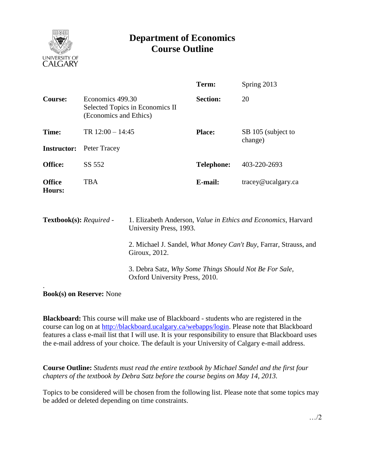

## **Department of Economics Course Outline**

|                                |                                            |                                                                                                  | Term:             | Spring 2013                   |  |  |
|--------------------------------|--------------------------------------------|--------------------------------------------------------------------------------------------------|-------------------|-------------------------------|--|--|
| <b>Course:</b>                 | Economics 499.30<br>(Economics and Ethics) | Selected Topics in Economics II                                                                  | <b>Section:</b>   | 20                            |  |  |
| Time:                          | TR $12:00 - 14:45$                         |                                                                                                  | <b>Place:</b>     | SB 105 (subject to<br>change) |  |  |
| <b>Instructor:</b>             | Peter Tracey                               |                                                                                                  |                   |                               |  |  |
| Office:                        | SS 552                                     |                                                                                                  | <b>Telephone:</b> | 403-220-2693                  |  |  |
| <b>Office</b><br><b>Hours:</b> | <b>TBA</b>                                 |                                                                                                  | E-mail:           | tracey@ucalgary.ca            |  |  |
| Textbook(s): Required -        |                                            | 1. Elizabeth Anderson, <i>Value in Ethics and Economics</i> , Harvard<br>University Press, 1993. |                   |                               |  |  |
|                                |                                            | 2. Michael J. Sandel, <i>What Money Can't Buy</i> , Farrar, Strauss, and<br>Giroux, 2012.        |                   |                               |  |  |
|                                |                                            | 3. Debra Satz, Why Some Things Should Not Be For Sale,<br>Oxford University Press, 2010.         |                   |                               |  |  |

**Book(s) on Reserve:** None

**Blackboard:** This course will make use of Blackboard - students who are registered in the course can log on at [http://blackboard.ucalgary.ca/webapps/login.](http://blackboard.ucalgary.ca/webapps/login) Please note that Blackboard features a class e-mail list that I will use. It is your responsibility to ensure that Blackboard uses the e-mail address of your choice. The default is your University of Calgary e-mail address.

**Course Outline:** *Students must read the entire textbook by Michael Sandel and the first four chapters of the textbook by Debra Satz before the course begins on May 14, 2013.*

Topics to be considered will be chosen from the following list. Please note that some topics may be added or deleted depending on time constraints.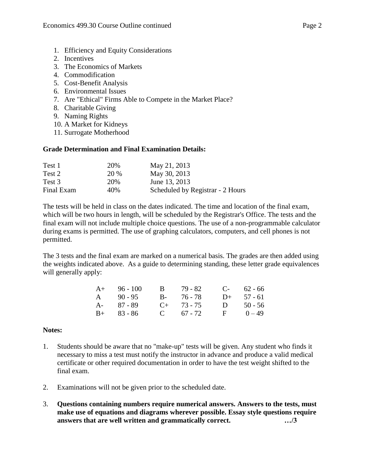- 1. Efficiency and Equity Considerations
- 2. Incentives
- 3. The Economics of Markets
- 4. Commodification
- 5. Cost-Benefit Analysis
- 6. Environmental Issues
- 7. Are "Ethical" Firms Able to Compete in the Market Place?
- 8. Charitable Giving
- 9. Naming Rights
- 10. A Market for Kidneys
- 11. Surrogate Motherhood

## **Grade Determination and Final Examination Details:**

| Test 1     | 20%         | May 21, 2013                     |
|------------|-------------|----------------------------------|
| Test 2     | <b>20 %</b> | May 30, 2013                     |
| Test 3     | 20%         | June 13, 2013                    |
| Final Exam | 40%         | Scheduled by Registrar - 2 Hours |

The tests will be held in class on the dates indicated. The time and location of the final exam, which will be two hours in length, will be scheduled by the Registrar's Office. The tests and the final exam will not include multiple choice questions. The use of a non-programmable calculator during exams is permitted. The use of graphing calculators, computers, and cell phones is not permitted.

The 3 tests and the final exam are marked on a numerical basis. The grades are then added using the weights indicated above. As a guide to determining standing, these letter grade equivalences will generally apply:

| $A+ 96 - 100$ | $\mathbf{B}$ | - 79 - 82     |   | $C-62-66$    |
|---------------|--------------|---------------|---|--------------|
| A $90-95$     |              | $B - 76 - 78$ |   | $D+ 57 - 61$ |
| $A - 87 - 89$ |              | $C+$ 73 - 75  | D | $50 - 56$    |
| $B+ 83 - 86$  |              | $C = 67 - 72$ |   | $F = 0 - 49$ |

## **Notes:**

- 1. Students should be aware that no "make-up" tests will be given. Any student who finds it necessary to miss a test must notify the instructor in advance and produce a valid medical certificate or other required documentation in order to have the test weight shifted to the final exam.
- 2. Examinations will not be given prior to the scheduled date.
- 3. **Questions containing numbers require numerical answers. Answers to the tests, must make use of equations and diagrams wherever possible. Essay style questions require answers that are well written and grammatically correct. …/3**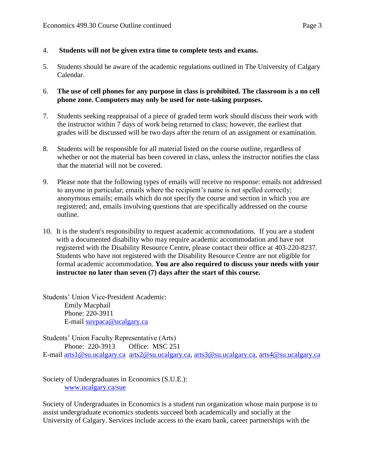- 4. **Students will not be given extra time to complete tests and exams.**
- 5. Students should be aware of the academic regulations outlined in The University of Calgary Calendar.
- 6. **The use of cell phones for any purpose in class is prohibited. The classroom is a no cell phone zone. Computers may only be used for note-taking purposes.**
- 7. Students seeking reappraisal of a piece of graded term work should discuss their work with the instructor within 7 days of work being returned to class; however, the earliest that grades will be discussed will be two days after the return of an assignment or examination.
- 8. Students will be responsible for all material listed on the course outline, regardless of whether or not the material has been covered in class, unless the instructor notifies the class that the material will not be covered.
- 9. Please note that the following types of emails will receive no response: emails not addressed to anyone in particular; emails where the recipient's name is not spelled correctly; anonymous emails; emails which do not specify the course and section in which you are registered; and, emails involving questions that are specifically addressed on the course outline.
- 10. It is the student's responsibility to request academic accommodations. If you are a student with a documented disability who may require academic accommodation and have not registered with the Disability Resource Centre, please contact their office at 403-220-8237. Students who have not registered with the Disability Resource Centre are not eligible for formal academic accommodation. **You are also required to discuss your needs with your instructor no later than seven (7) days after the start of this course.**

Students' Union Vice-President Academic: Emily Macphail Phone: 220-3911 E-mail [suvpaca@ucalgary.ca](mailto:subpaca@ucalgary.ca)

Students' Union Faculty Representative (Arts) Phone: 220-3913 Office: MSC 251 E-mail [arts1@su.ucalgary.ca](mailto:arts1@su.ucalgary.ca) [arts2@su.ucalgary.ca,](mailto:arts2@su.ucalgary.ca) [arts3@su.ucalgary.ca,](mailto:arts3@su.ucalgary.ca) [arts4@su.ucalgary.ca](mailto:arts4@su.ucalgary.ca)

Society of Undergraduates in Economics (S.U.E.): [www.ucalgary.ca/sue](http://www.fp.ucalgary.ca/econ)

Society of Undergraduates in Economics is a student run organization whose main purpose is to assist undergraduate economics students succeed both academically and socially at the University of Calgary. Services include access to the exam bank, career partnerships with the